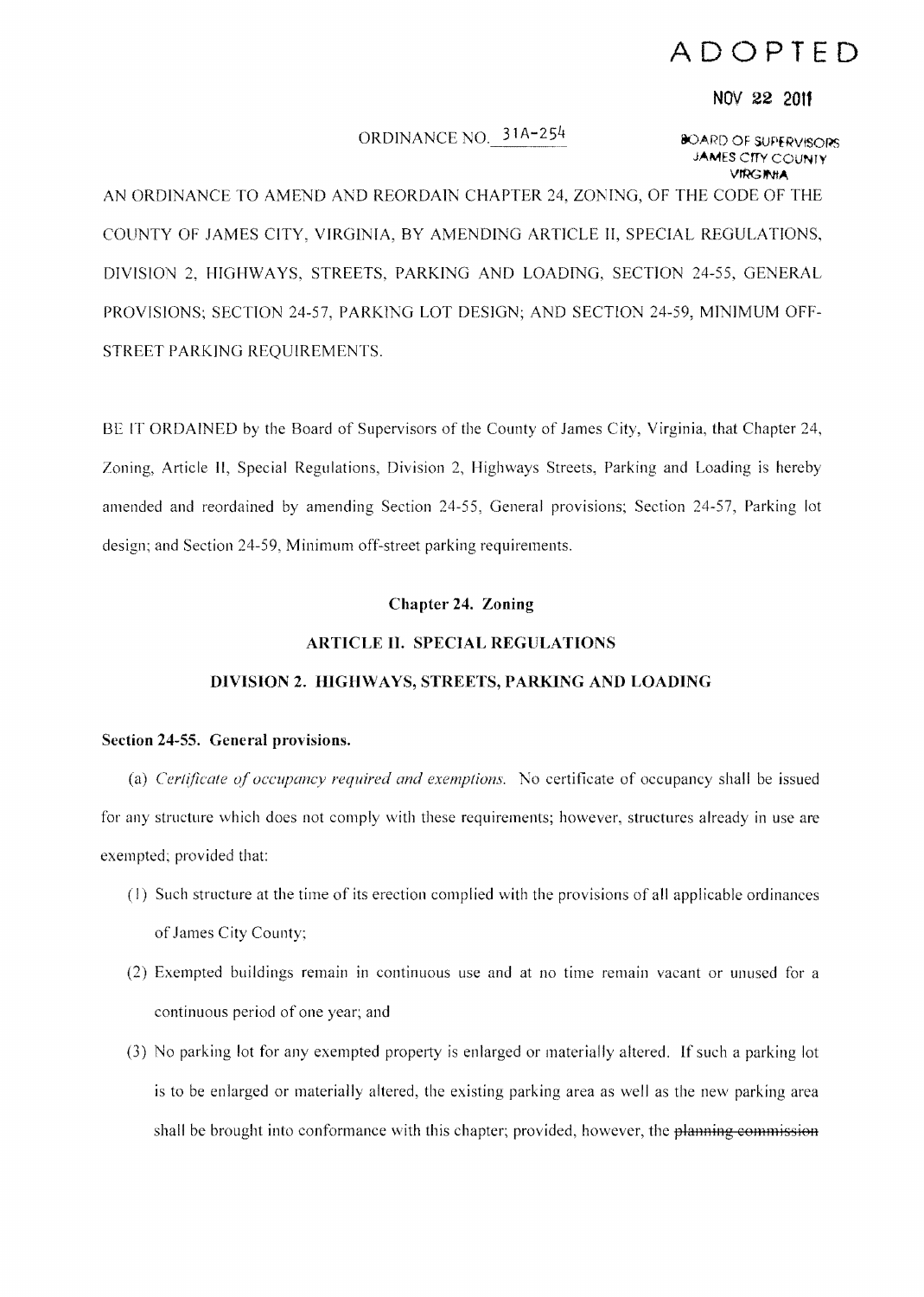# **ADOPTED**

#### **NOV 22 2011**

# ORDINANCE NO.  $31A-254$  80ARD OF SUPERVISORS

**JAMES** errv COUNTY **VIRGINIA** 

AN ORDINANCE TO AMEND AND REORDAIN CHAPTER 24, ZONING, OF THE CODE OF THE COUNTY OF JAMES CITY, VIRGINIA, BY AMENDING ARTICLE II, SPECIAL REGULATIONS, DIVISION 2, HIGHWAYS, STREETS, PARKING AND LOADING, SECTION 24-55, GENERAL PROVISIONS; SECTION 24-57, PARKING LOT DESIGN; AND SECTION 24-59, MINIMUM OFF-STREET PARKING REQUIREMENTS.

BE IT ORDAINED by the Board of Supervisors of the County of James City, Virginia, that Chapter 24, Zoning, Article II, Special Regulations, Division 2, Highways Streets, Parking and Loading is hereby amended and reordained by amending Section 24-55, General provisions; Section 24-57, Parking lot design; and Section 24-59, Minimum off-street parking requirements.

## **Chapter 24. Zoning**

## **ARTICLE II. SPECIAL REGULATIONS**

# **DIVISION 2. HIGHWAYS, STREETS, PARKING AND LOADING**

# **Section 24-55. General provisions.**

(a) *Cerl(jicale oj occupancy required and exemptions.* No certificate of occupancy shall be issued for any structure which does not comply with these requirements; however, structures already in use are exempted; provided that:

- (I) Such structure at the time of its erection complied with the provisions of all applicable ordinances of James City County;
- (2) Exempted buildings remain in continuous use and at no time remain vacant or unused for a continuous period of one year; and
- (3) No parking lot for any exempted property is enlarged or materially altered. If such a parking lot is to be enlarged or materially altered, the existing parking area as well as the new parking area shall be brought into conformance with this chapter; provided, however, the planning commission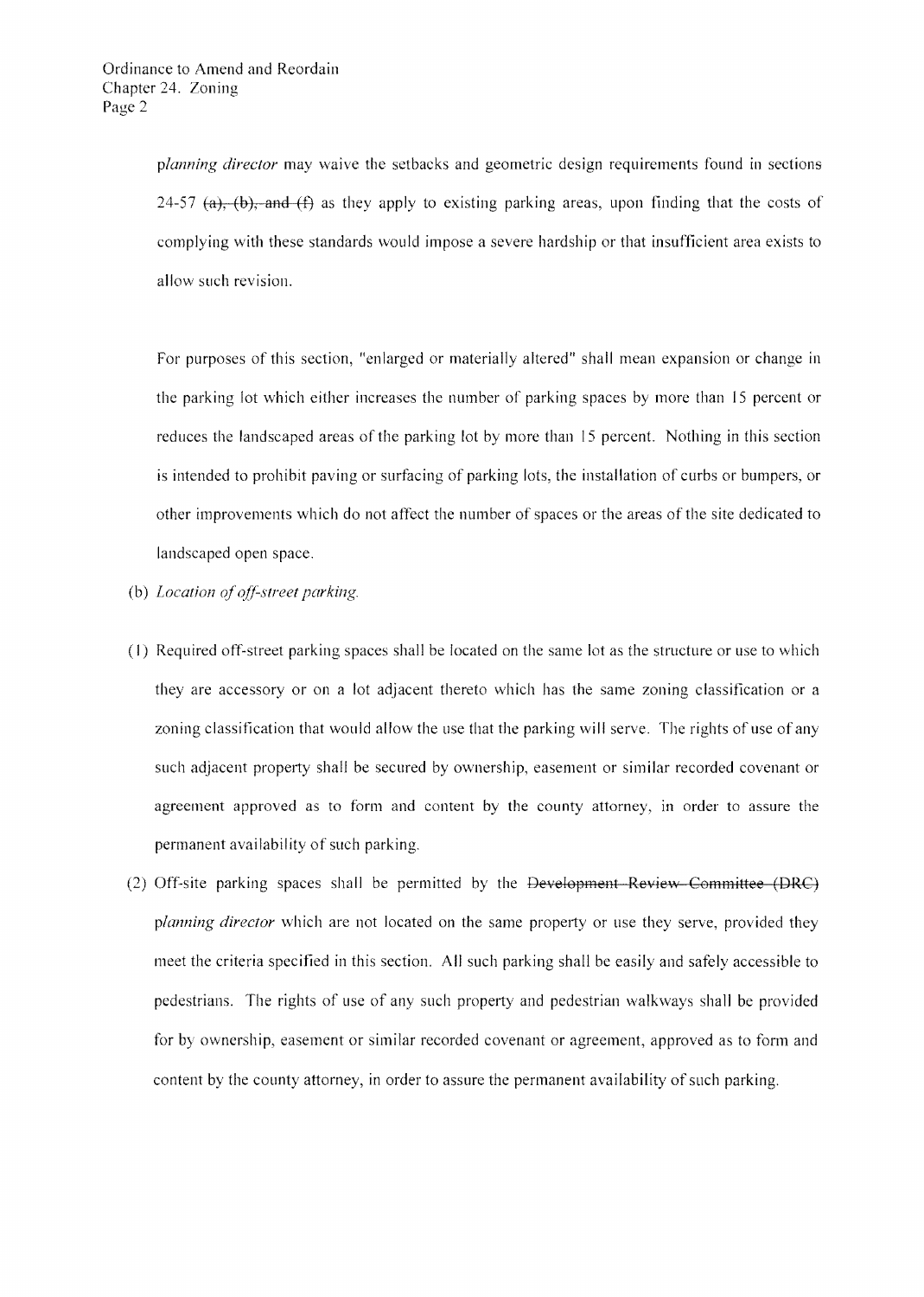*planning director* may waive the setbacks and geometric design requirements found in sections 24-57 (a), (b), and (f) as they apply to existing parking areas, upon finding that the costs of complying with these standards would impose a severe hardship or that insufficient area exists to allow such revision.

For purposes of this section, "enlarged or materially altered" shall mean expansion or change in the parking lot which either increases the number of parking spaces by more than 15 percent or reduces the landscaped areas of the parking lot by more than 15 percent. Nothing in this section is intended to prohibit paving or surfacing of parking lots, the installation of curbs or bumpers, or other improvements which do not affect the number of spaces or the areas of the site dedicated to landscaped open space.

- (b) *Location of off-street parking.*
- (1) Required otf-street parking spaces shall be located on the same lot as the structure or use to which they are accessory or on a lot adjacent thereto which has the same zoning classification or a zoning classification that would allow the use that the parking will serve. The rights of use of any such adjacent property shall be secured by ownership, easement or similar recorded covenant or agreement approved as to form and content by the county attorney, in order to assure the permanent availability of such parking.
- (2) Off-site parking spaces shall be permitted by the Development-Review Committee (DRC) *planning director* which are not located on the same property or use they serve, provided they meet the criteria specified in this section. All such parking shall be easily and safely accessible to pedestrians. The rights of use of any such property and pedestrian walkways shall be provided for by ownership, easement or similar recorded covenant or agreement, approved as to form and content by the county attorney, in order to assure the permanent availability of such parking.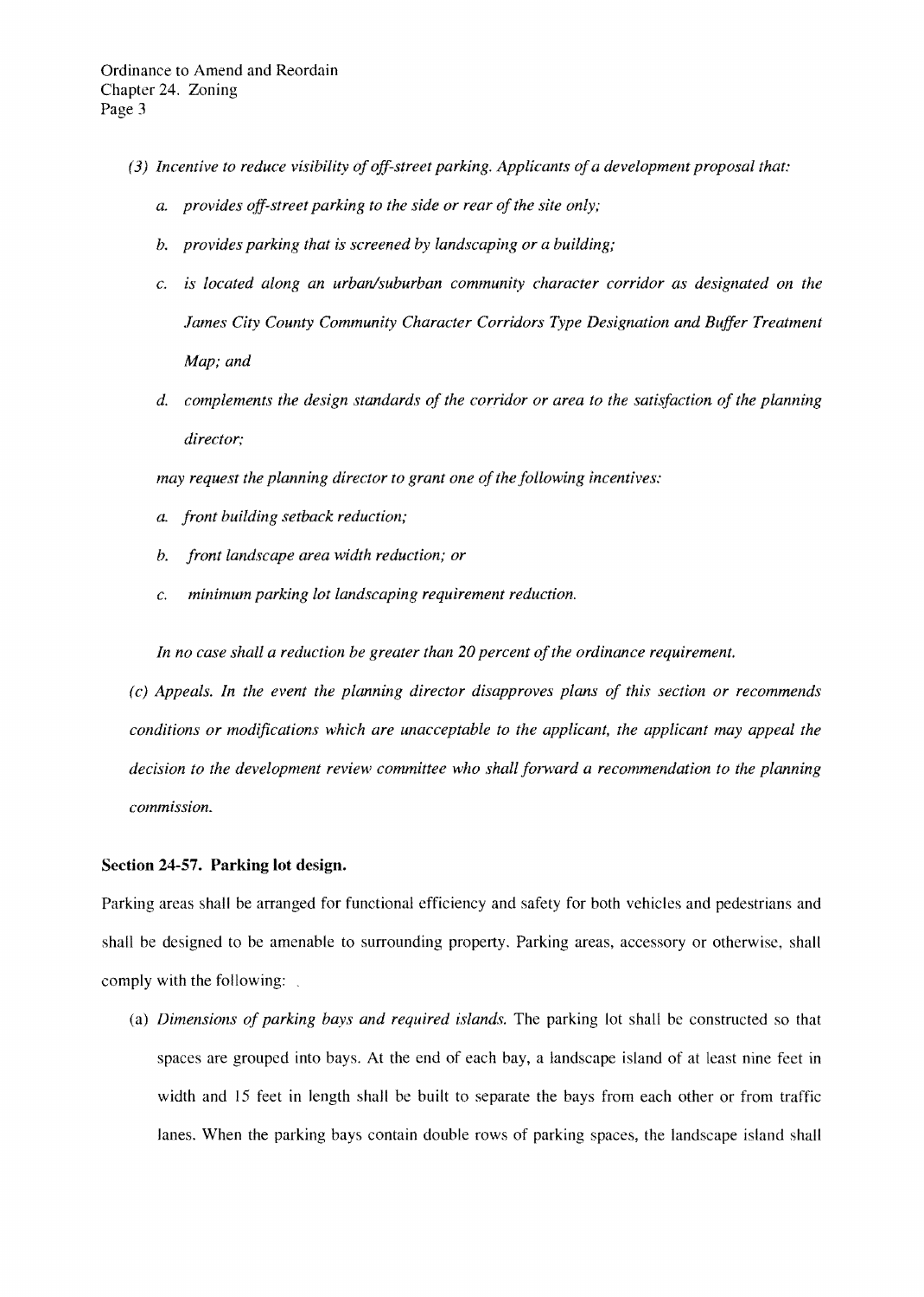- *(3) Incentive to reduce visibility ofoff-street parking. Applicants ofa development proposal that:* 
	- *a. provides off-street parking to the side or rear ofthe site only;*
	- *b. provides parking that is screened by landscaping or a building;*
	- c. *is located along an urban/suburban community character corridor as designated on the James City County Community Character Corridors Type Designation and Buffer Treatment Map; and*
	- *d. complements the design standards of the corridor or area to the satisfaction of the planning director;*

*may request the planning director to grant one of the following incentives:* 

- *a. front building setback reduction;*
- *b. front landscape area width reduction; or*
- c. *minimum parking lot landscaping requirement reduction.*

In no case shall a reduction be greater than 20 percent of the ordinance requirement.

*(c) Appeals. In the event the planning director disapproves plans of this section or recommends conditions or modifications which are unacceptable to the applicant, the applicant may appeal the decision to the development review committee who shall forward a recommendation to the planning commission.* 

# Section 24-57. Parking lot design.

Parking areas shall be arranged for functional efficiency and safety for both vehicles and pedestrians and shall be designed to be amenable to surrounding property. Parking areas, accessory or otherwise, shall comply with the following:

(a) *Dimensions of parking bays and required islands.* The parking lot shall be constructed so that spaces are grouped into bays. At the end of each bay, a landscape island of at least nine feet in width and 15 feet in length shall be built to separate the bays from each other or from traffic lanes. When the parking bays contain double rows of parking spaces, the landscape island shall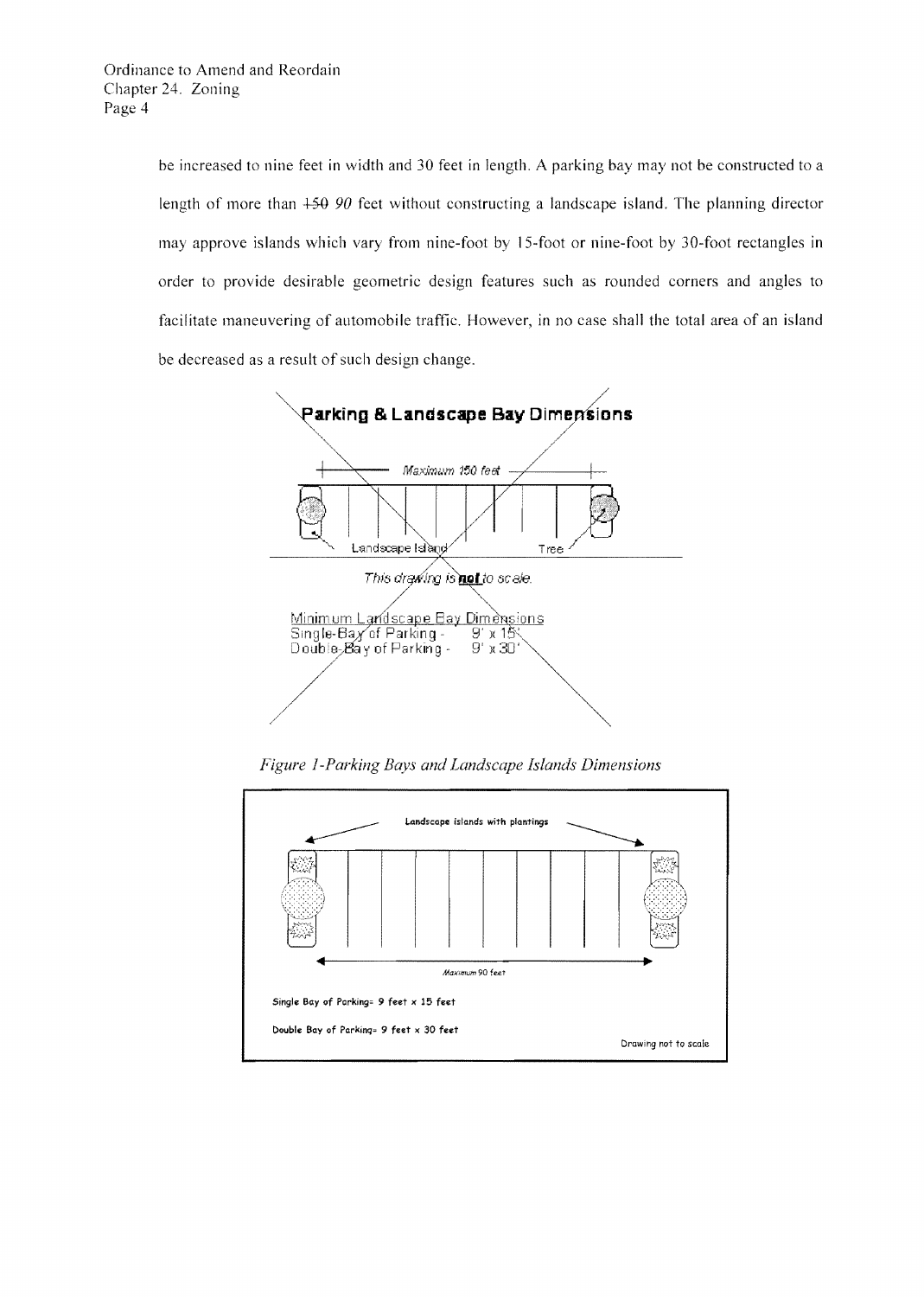be increased to nine feet in width and 30 feet in length. A parking bay may not be constructed to a length of more than  $+50,90$  feet without constructing a landscape island. The planning director may approve islands which vary from nine-foot by 15-foot or nine-foot by 30-foot rectangles in order to provide desirable geometric design features such as rounded corners and angles to facilitate maneuvering of automobile traffic. However, in no case shall the total area of an island be decreased as a result of such design change.



*Figure i-Parking Bays and Landscape Islands Dimensions* 

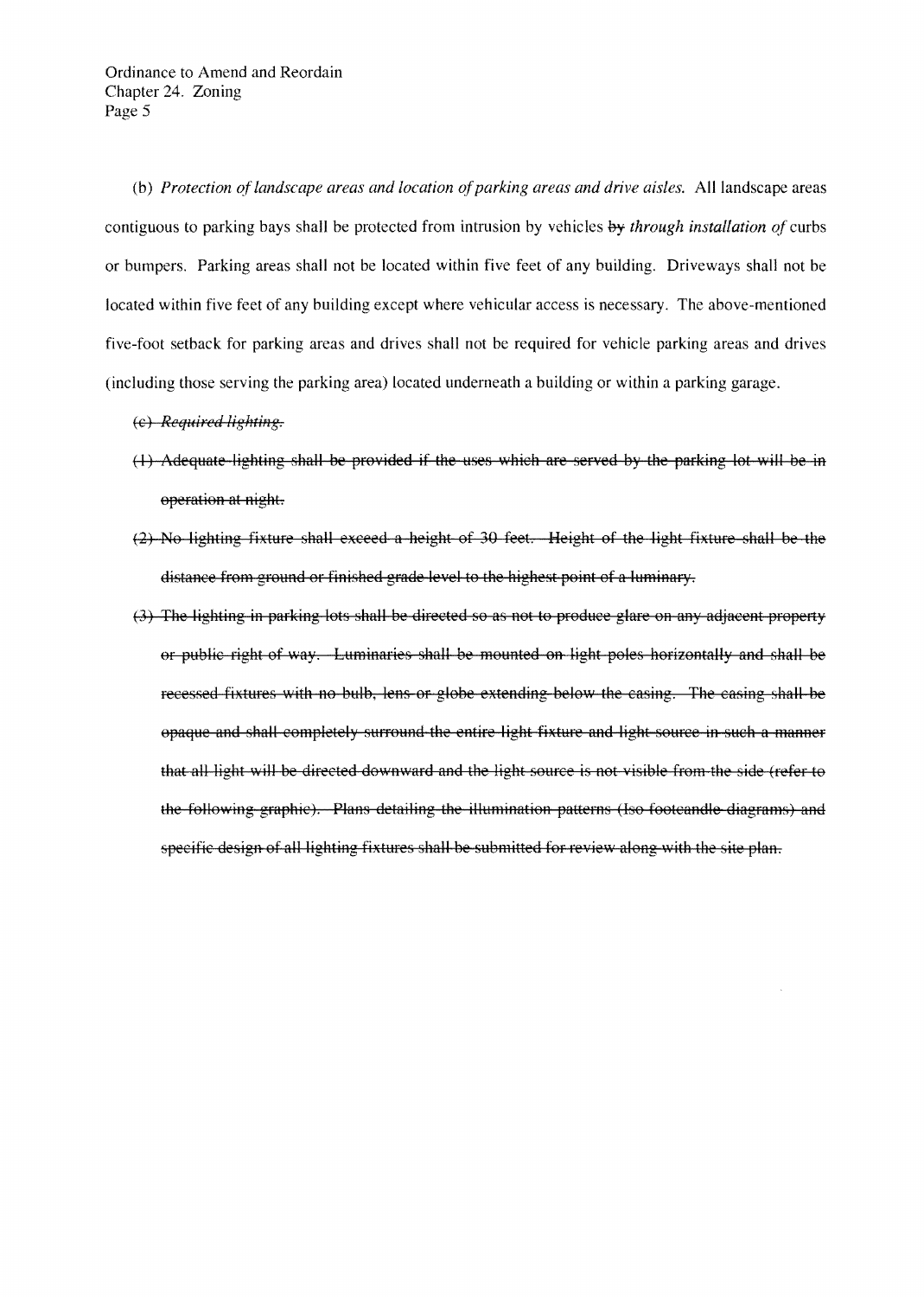(b) *Protection oflandscape areas and location ofparking areas and drive aisles.* All landscape areas contiguous to parking bays shall be protected from intrusion by vehicles by *through installation of* curbs or bumpers. Parking areas shall not be located within five feet of any building. Driveways shall not be located within five feet of any building except where vehicular access is necessary. The above-mentioned five-foot setback for parking areas and drives shall not be required for vehicle parking areas and drives (including those serving the parking area) Located underneath a building or within a parking garage.

- (c) *Required lighting.*
- (1) Adequate lighting shall be provided if the uses which are served by the parking lot will be in operation at night.
- (2) No lighting fixture shall exceed a height of 30 feet. Height of the light fixture shall be the distance from ground or finished grade level to the highest point of a lumiaary.
- (3) The lighting in parking lots shall be directed so as not to produce glare on any adjacent property or public right of way. Luminaries shall be mounted on light poles horizontally and shall be recessed fixtures with no bulb, lens or globe extending below the casing. The casing shall be opaque and shall completely surround the entire light fixture and light source in such a manner that all light will be directed downward and the light source is not visible from the side (refer to the following graphic). Plans detailing the illumination patterns (Iso footcandle diagrams) and specific design of all lighting fixtures shall be submitted for review along with the site plan.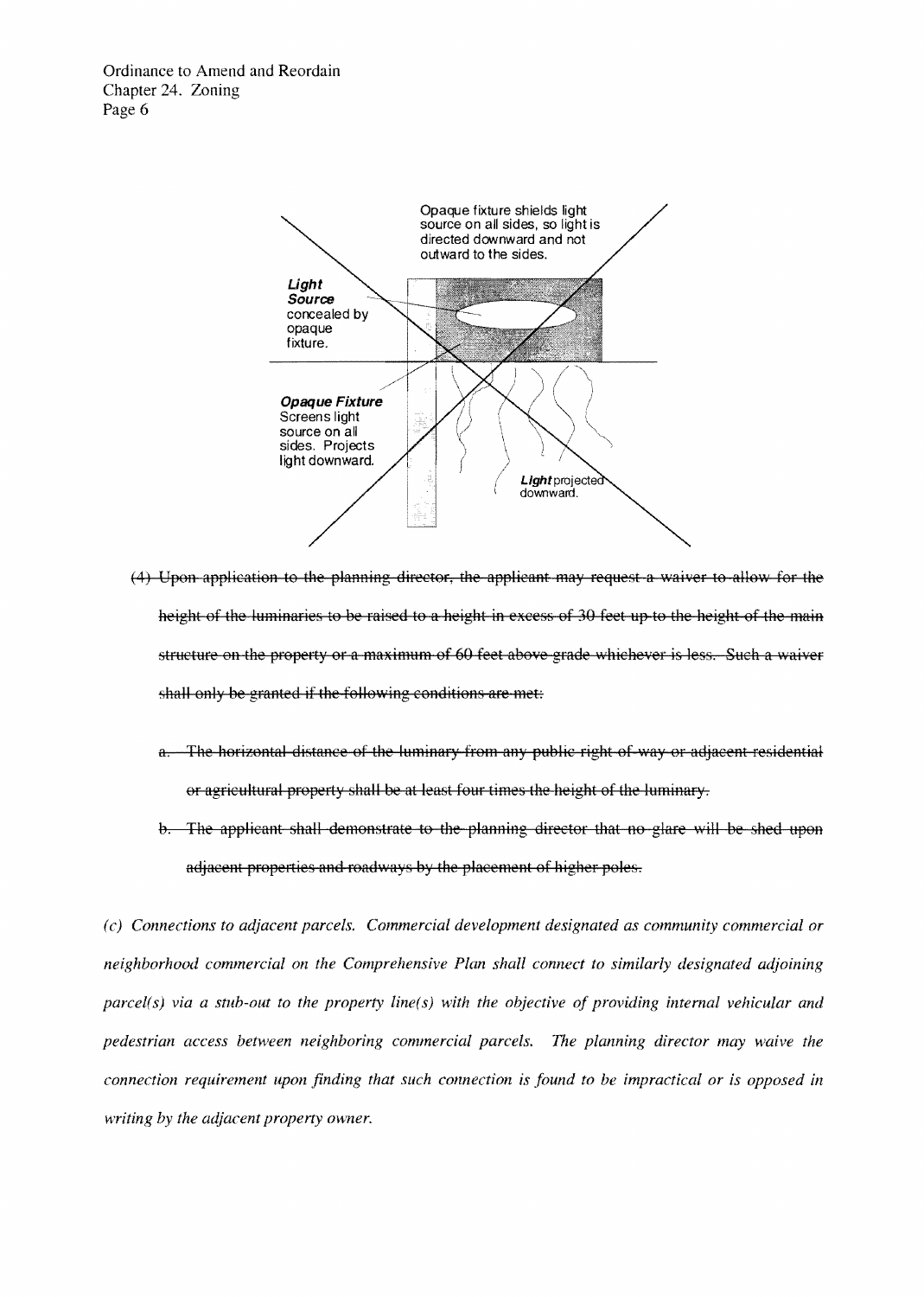

- (4) Upon application to the planning director, the applicant may request a waiver to allow for the height of the luminaries to be raised to a height in excess of 30 feet up to the height of the main structure on the property or a maximum of 60 feet above grade whichever is less. Such a waiver shall only be granted if the following conditions are met:
	- a. The horizontal distance of the luminary from any public right of way or adjacent residential or agricultural property shall be at least four times the height of the luminary.
	- b. The applicant shall demonstrate to the planning director that no glare will be shed upon adjacent properties and roadways by the placement of higher poles.

*(c) Connections to adjacent parcels. Commercial development designated as community commercial or neighborhood commercial on the Comprehensive Plan shall connect to similarly designated adjoining parcel(s) via a stub-out to the property line(s)* with the objective of providing internal vehicular and *pedestrian access between neighboring commercial parcels. The planning director may waive the connection requirement upon finding that such connection is found to be impractical or is opposed in writing by the adjacent property owner.*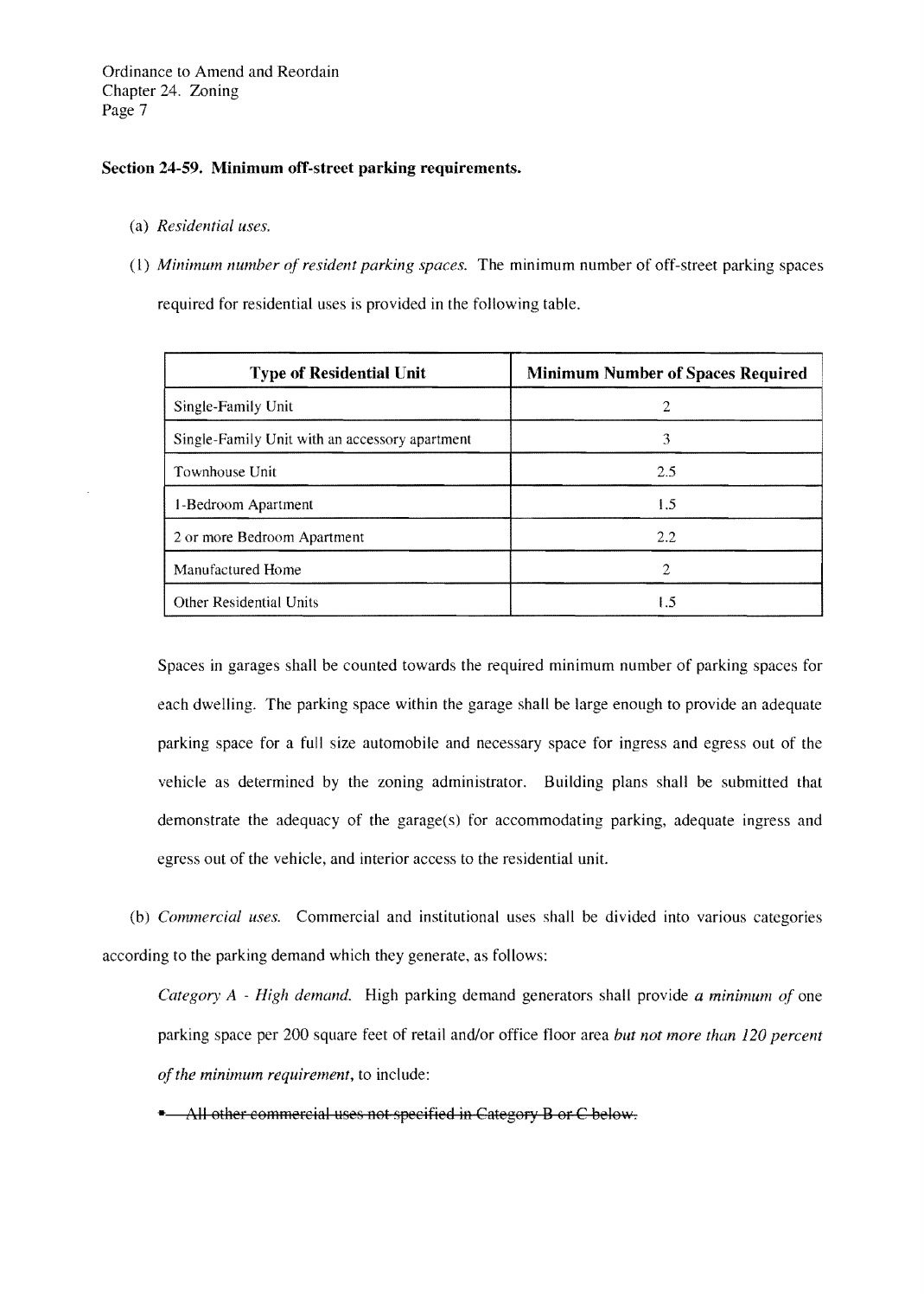### Section 24-59. Minimum off-street parking requirements.

- (a) *Residential uses.*
- (I) *Minimum number of resident parking spaces.* The minimum number of off-street parking spaces required for residential uses is provided in the following table.

| <b>Type of Residential Unit</b>                | <b>Minimum Number of Spaces Required</b> |
|------------------------------------------------|------------------------------------------|
| Single-Family Unit                             | 2                                        |
| Single-Family Unit with an accessory apartment | 3                                        |
| Townhouse Unit                                 | 2.5                                      |
| 1-Bedroom Apartment                            | 1.5                                      |
| 2 or more Bedroom Apartment                    | 2.2                                      |
| Manufactured Home                              | 2                                        |
| <b>Other Residential Units</b>                 | 1.5                                      |

Spaces in garages shall be counted towards the required minimum number of parking spaces for each dwelling. The parking space within the garage shall be large enough to provide an adequate parking space for a full size automobile and necessary space for ingress and egress out of the vehicle as determined by the zoning administrator. Building plans shall be submitted that demonstrate the adequacy of the garage(s) for accommodating parking, adequate ingress and egress out of the vehicle, and interior access to the residential unit.

(b) *Commercial uses.* Commercial and institutional uses shall be divided into various categories according to the parking demand which they generate, as follows:

*Category A - High demand.* High parking demand generators shall provide *a minimum of* one parking space per 200 square feet of retail and/or office floor area *but not more than 120 percent ofthe minimum requirement,* to include:

\* All other commercial uses not specified in Category B or C below.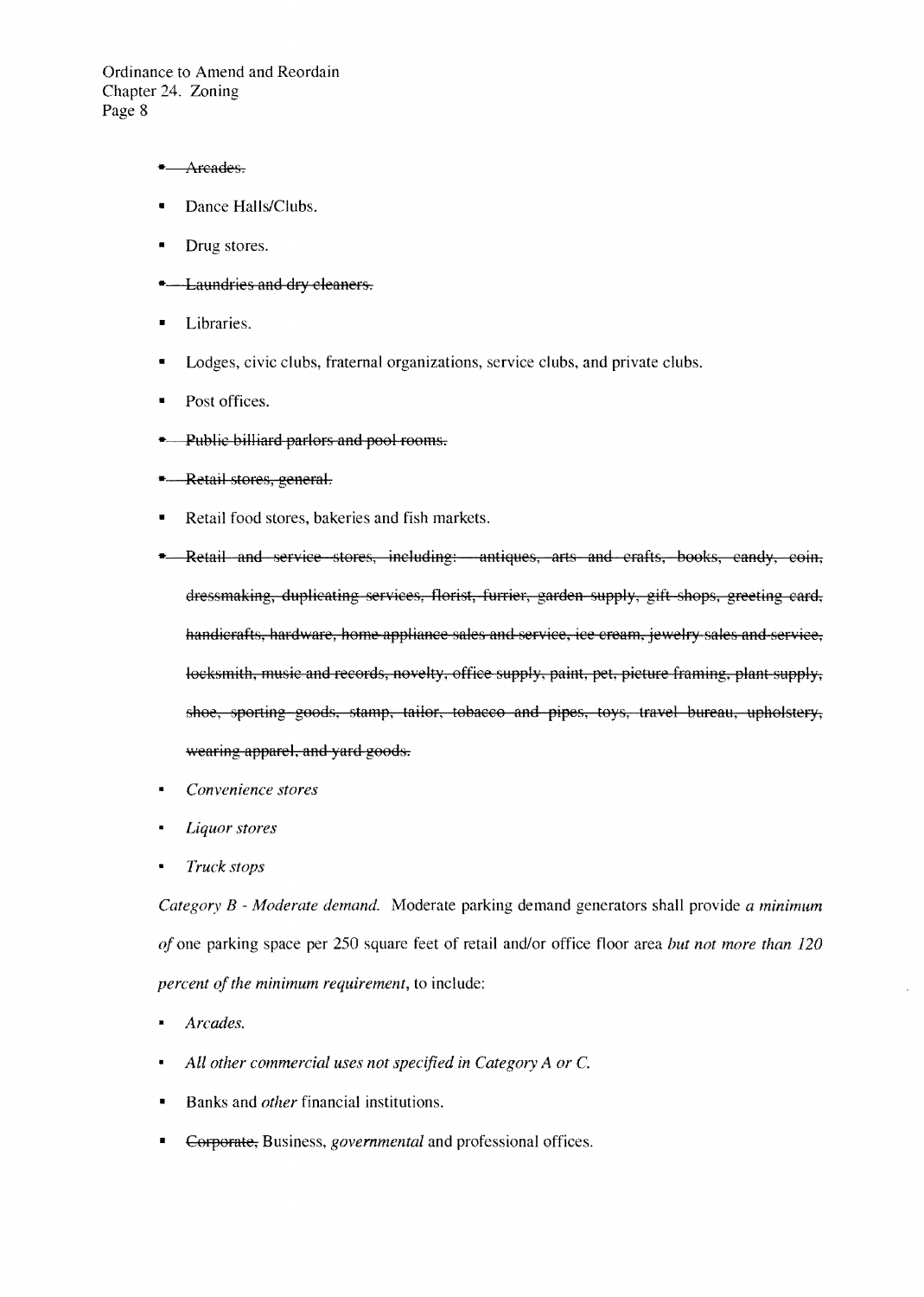#### \* Arcades.

- Dance Halls/Clubs.
- Drug stores.
- <sup>-</sup> Laundries and dry cleaners.
- **•** Libraries.
- Lodges, civic clubs, fraternal organizations, service clubs, and private clubs.
- Post offices.
- **...** Public billiard parlors and pool rooms.
- **Retail stores, general.**
- Retail food stores, bakeries and fish markets.
- . Retail and service stores, including: antiques, arts and crafts, books, candy, coin, dressmaking, duplicating services, florist, furrier, garden supply, gift shops, greeting card, handicrafts, hardware, home appliance sales and service, ice cream, jewelry sales and service, locksmith, music and records, novelty, office supply, paint, pet, picture framing, plant supply, shoe, sporting goods, stamp, tailor, tobacco and pipes, toys, travel bureau, upholstery, wearing apparel, and yard goods.
- $Convenience stores$
- *Liquor stores*
- *Truck stops*

*Category B* - *Moderate demand.* Moderate parking demand generators shall provide *a minimum of* one parking space per 250 square feet of retail and/or office floor area *but not more than 120 percent of the minimum requirement, to include:* 

- $Arcades.$
- *All other commercial uses not specified in Category A or* C.
- Banks and *other* financial institutions.
- Corporate, Business, *governmental* and professional offices.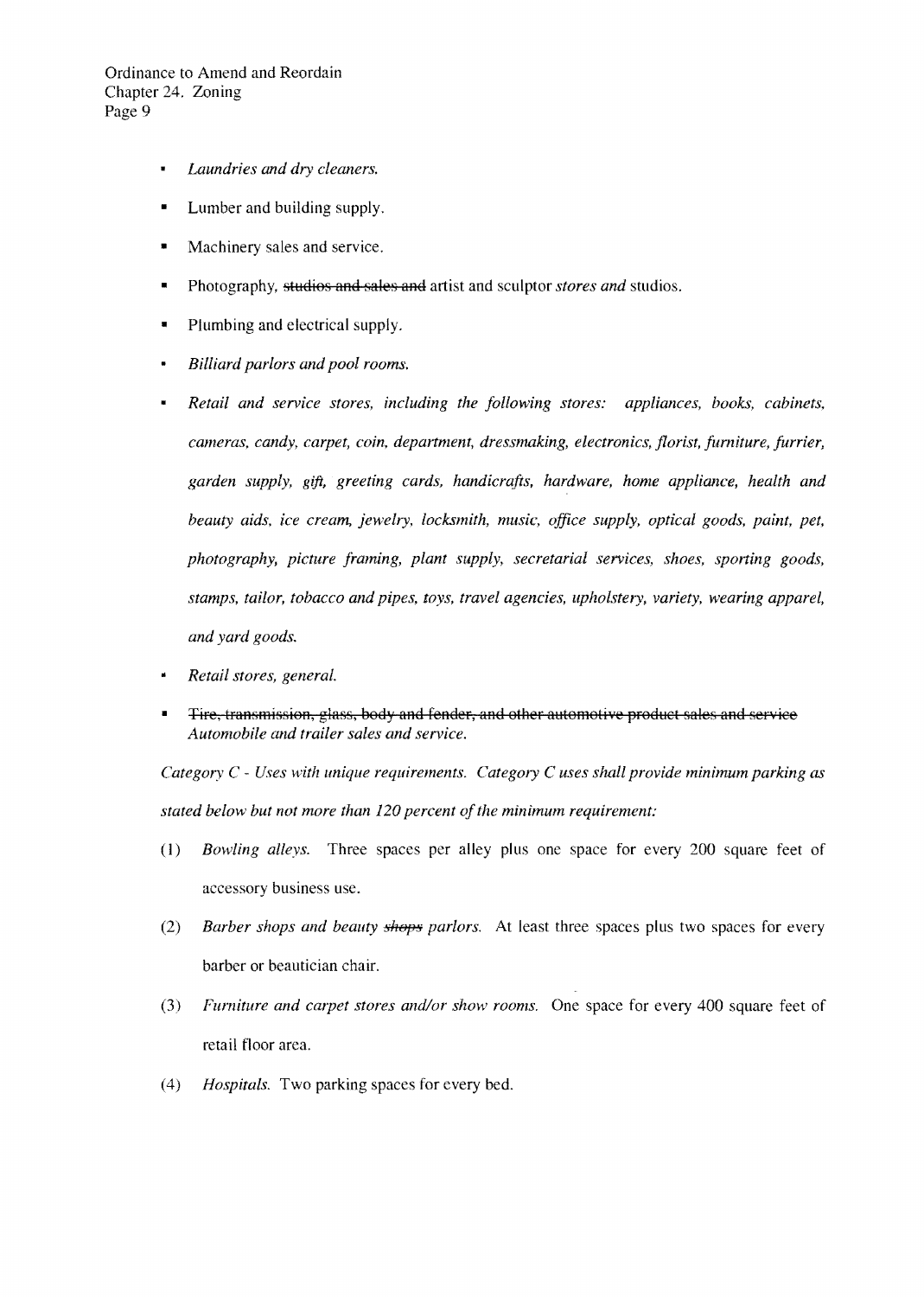- *Laundries and dry cleaners.*   $\blacksquare$
- Lumber and building supply.
- Machinery sales and service.
- Photography. studios and sales and artist and sculptor *stores and* studios.
- Plumbing and electrical supply.
- *Billiard parlors and pool rooms.*
- *Retail and service stores, including the following stores: appliances, books, cabinets. cameras, candy, carpet, coin. department, dressrnaking, electronics, florist, furniture, furrier, garden supply, gift, greeting cards, handicrafts, hardware, home appliance, health and beauty aids, ice cream, jewelry, locksmith, music, office supply, optical goods, paint, pet, photography, picture framing, plant supply, secretarial services, shoes, sporting goods, stamps, tailor, tobacco and pipes, toys, travel agencies, upholstery, variety, wearing apparel, and yard goods.*
- *Retail stores, general.*
- Tire, transmission, glass, body and fender, and other automotive product sales and service *Automobile and trailer sales and service.*

*Category* C - *Uses with unique requirements. Category* C *uses shall provide minimum parking as*  stated below but not more than 120 percent of the minimum requirement:

- (1) *Bowling alleys.* Three spaces per alley plus one space for every 200 square feet of accessory business use.
- (2) *Barber shops and beauty shops parlors.* At least three spaces plus two spaces for every barber or beautician chair.
- *(3) Furniture and carpet stores and/or show rooms.* One space for every 400 square feet of retail floor area.
- *(4) Hospitals.* Two parking spaces for every bed.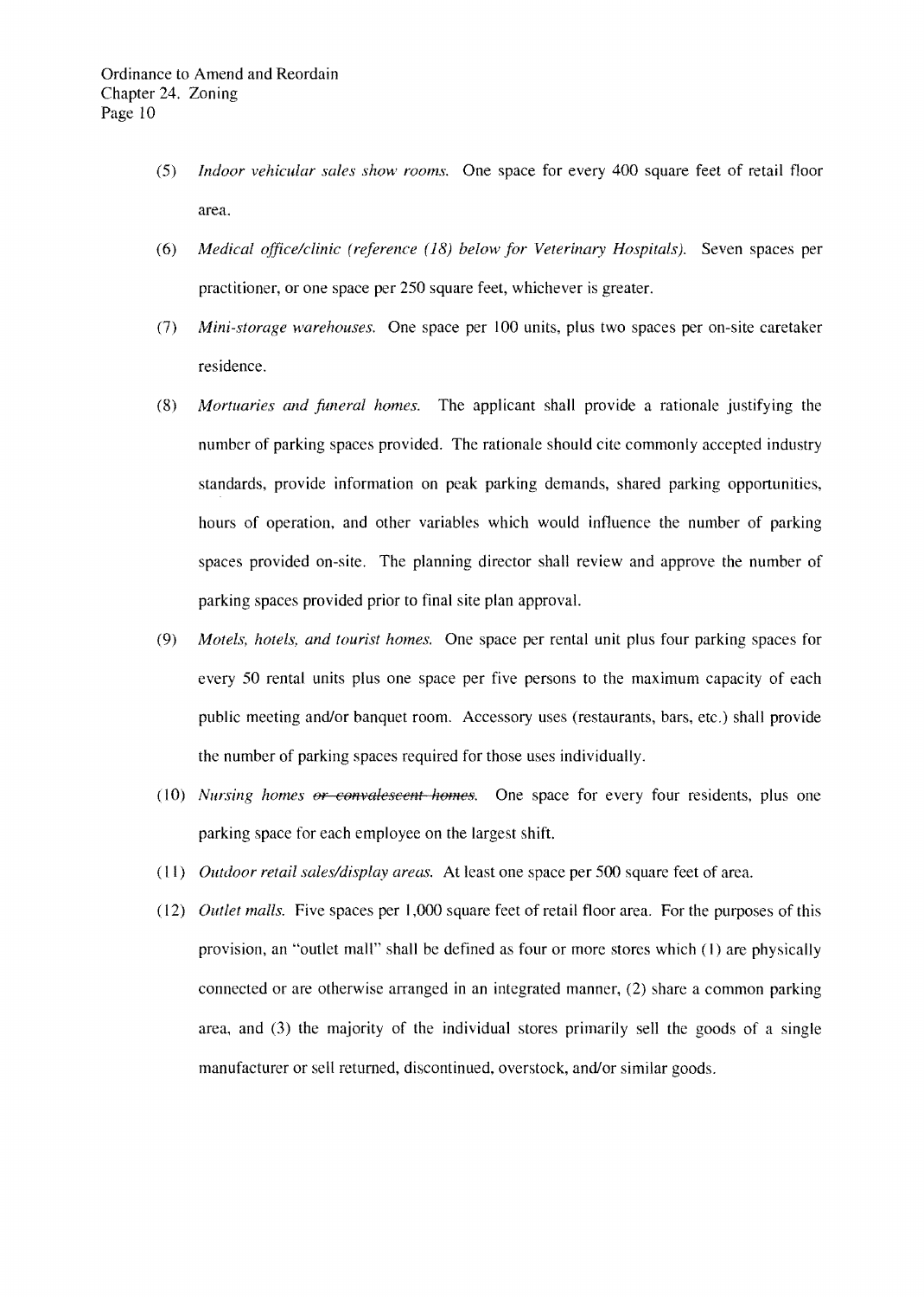- *(5) Indoor vehicular sales show rooms.* One space for every 400 square feet of retail floor area.
- *(6) Medical office/clinic (reference* (18) *below for Veterinary Hospitals).* Seven spaces per practitioner, or one space per 250 square feet, whichever is greater.
- (7) *Mini-storage warehouses.* One space per 100 units, plus two spaces per on-site caretaker residence.
- *(8) Mortuaries and funeral homes.* The applicant shall provide a rationale justifying the number of parking spaces provided. The rationale should cite commonly accepted industry standards, provide information on peak parking demands, shared parking opportunities, hours of operation, and other variables which would influence the number of parking spaces provided on-site. The planning director shall review and approve the number of parking spaces provided prior to final site plan approval.
- *(9) Motels, hotels, and tourist homes.* One space per rental unit plus four parking spaces for every 50 rental units plus one space per five persons to the maximum capacity of each public meeting and/or banquet room. Accessory uses (restaurants, bars, etc.) shall provide the number of parking spaces required for those uses individually.
- (10) *Nursing homes o<del>r convalescent homes</del>.* One space for every four residents, plus one parking space for each employee on the largest shift.
- *(11) Outdoor retail sales/display areas.* At least one space per 500 square feet of area.
- *(12) Outlet malls.* Five spaces per 1,000 square feet of retail floor area. For the purposes of this provision, an "outlet mall" shall be defined as four or more stores which (I) are physically connected or are otherwise arranged in an integrated manner, (2) share a common parking area, and (3) the majority of the individual stores primarily sell the goods of a single manufacturer or sell returned, discontinued, overstock, and/or similar goods.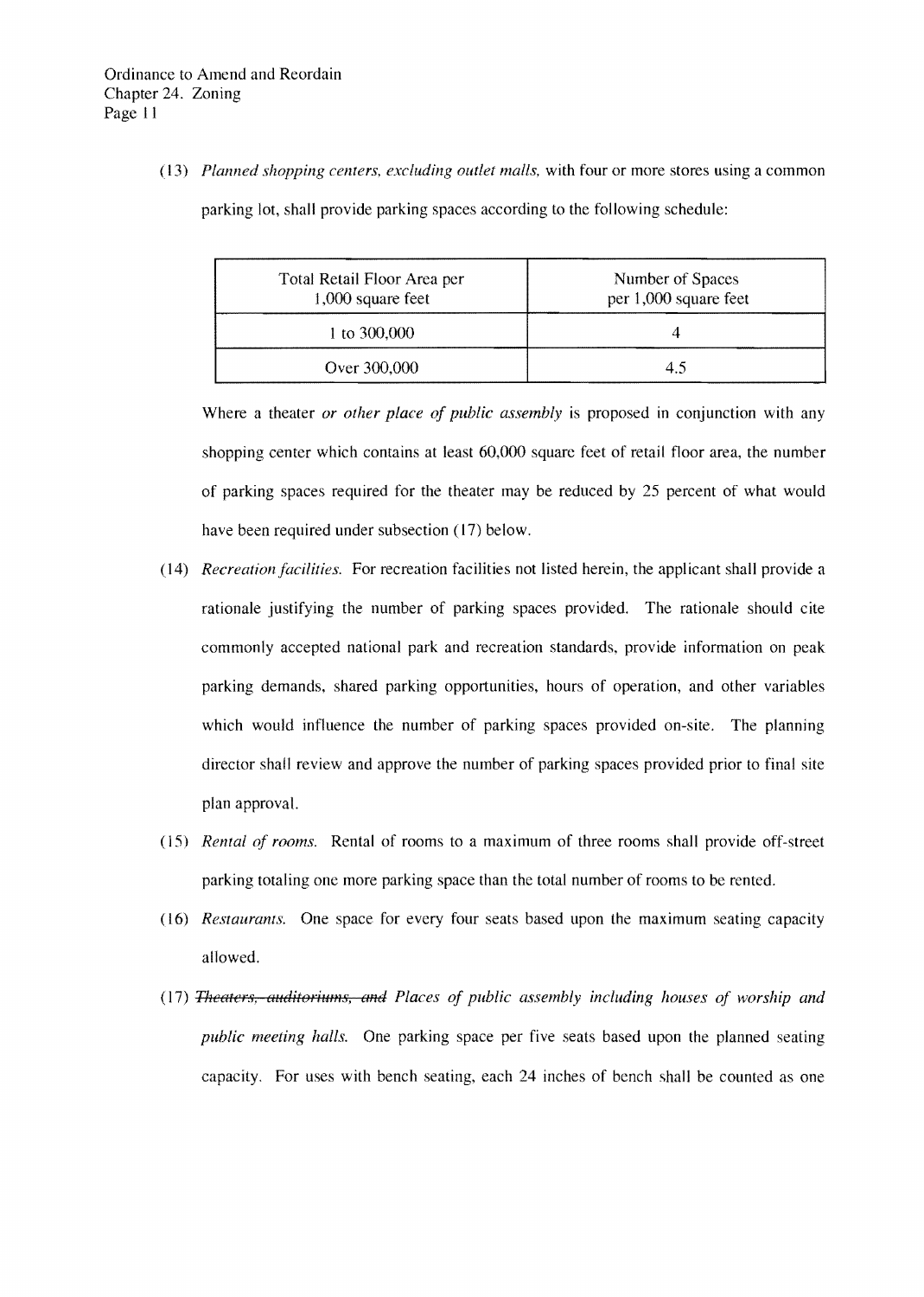*(13) Planned shopping centers, excluding outlet malis,* with four or more stores using a common parking lot, shall provide parking spaces according to the following schedule:

| Total Retail Floor Area per<br>1,000 square feet | Number of Spaces<br>per 1,000 square feet |
|--------------------------------------------------|-------------------------------------------|
| 1 to $300,000$                                   |                                           |
| Over 300,000                                     | 4.5                                       |

Where a theater *or other place of public assembly* is proposed **in** conjunction with any shopping center which contains at least 60,000 square feet of retail floor area, the number of parking spaces required for the theater may be reduced by 25 percent of what would have been required under subsection (17) below.

- *(14) Recreation facilities.* For recreation facilities not listed herein, the applicant shall provide a rationale justifying the number of parking spaces provided. The rationale should cite commonly accepted national park and recreation standards, provide information on peak parking demands, shared parking opportunities, hours of operation, and other variables which would influence the number of parking spaces provided on-site. The planning director shall review and approve the number of parking spaces provided prior to final site plan approval.
- *(15) Rental of rooms.* Rental of rooms to a maximum of three rooms shall provide off-street parking totaling one more parking space than the total number of rooms to be rented.
- *(16) Restaurants.* One space for every four seats based upon the maximum seating capacity allowed.
- (17) *Theaters, auditoriums, and Places of public assembly including houses of worship and public meeting halls.* One parking space per five seats based upon the planned seating capacity. For uses with bench seating, each 24 inches of bench shall be counted as one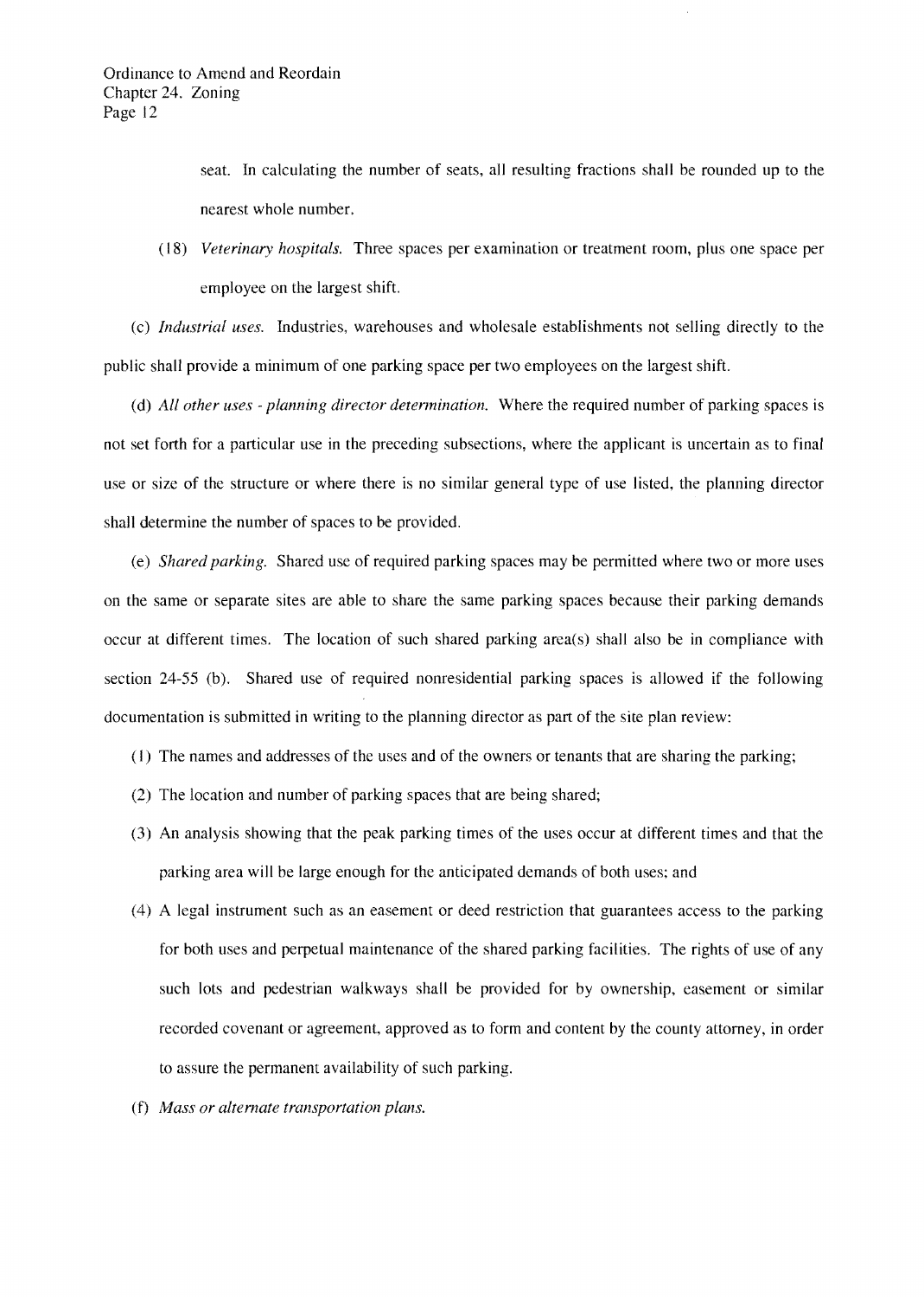seat. In calculating the number of seats, all resulting fractions shall be rounded up to the nearest whole number.

*(18) Veterinary hospitals.* Three spaces per examination or treatment room, plus one space per employee on the largest shift.

(c) *Industrial uses.* Industries, warehouses and wholesale establishments not selling directly to the public shall provide a minimum of one parking space per two employees on the largest shift.

(d) *All other uses* - *planning director determination.* Where the required number of parking spaces is not set forth for a particular use in the preceding subsections, where the applicant is uncertain as to final use or size of the structure or where there is no similar general type of use listed, the planning director shall determine the number of spaces to be provided.

(e) *Shared parking.* Shared use of required parking spaces may be permitted where two or more uses on the same or separate sites are able to share the same parking spaces because their parking demands occur at different times. The location of such shared parking area(s) shall also be in compliance with section 24-55 (b). Shared use of required nonresidential parking spaces is allowed if the following documentation is submitted in writing to the planning director as part of the site plan review:

- ( I) The names and addresses of the uses and of the owners or tenants that are sharing the parking;
- (2) The location and number of parking spaces that are being shared;
- (3) An analysis showing that the peak parking times of the uses occur at different times and that the parking area will be large enough for the anticipated demands of both uses; and
- (4) A legal instrument such as an easement or deed restriction that guarantees access to the parking for both uses and perpetual maintenance of the shared parking facilities. The rights of use of any such lots and pedestrian walkways shall be provided for by ownership, easement or similar recorded covenant or agreement, approved as to form and content by the county attorney, in order to assure the permanent availability of such parking.
- (f) *Mass or alternate transportation plans.*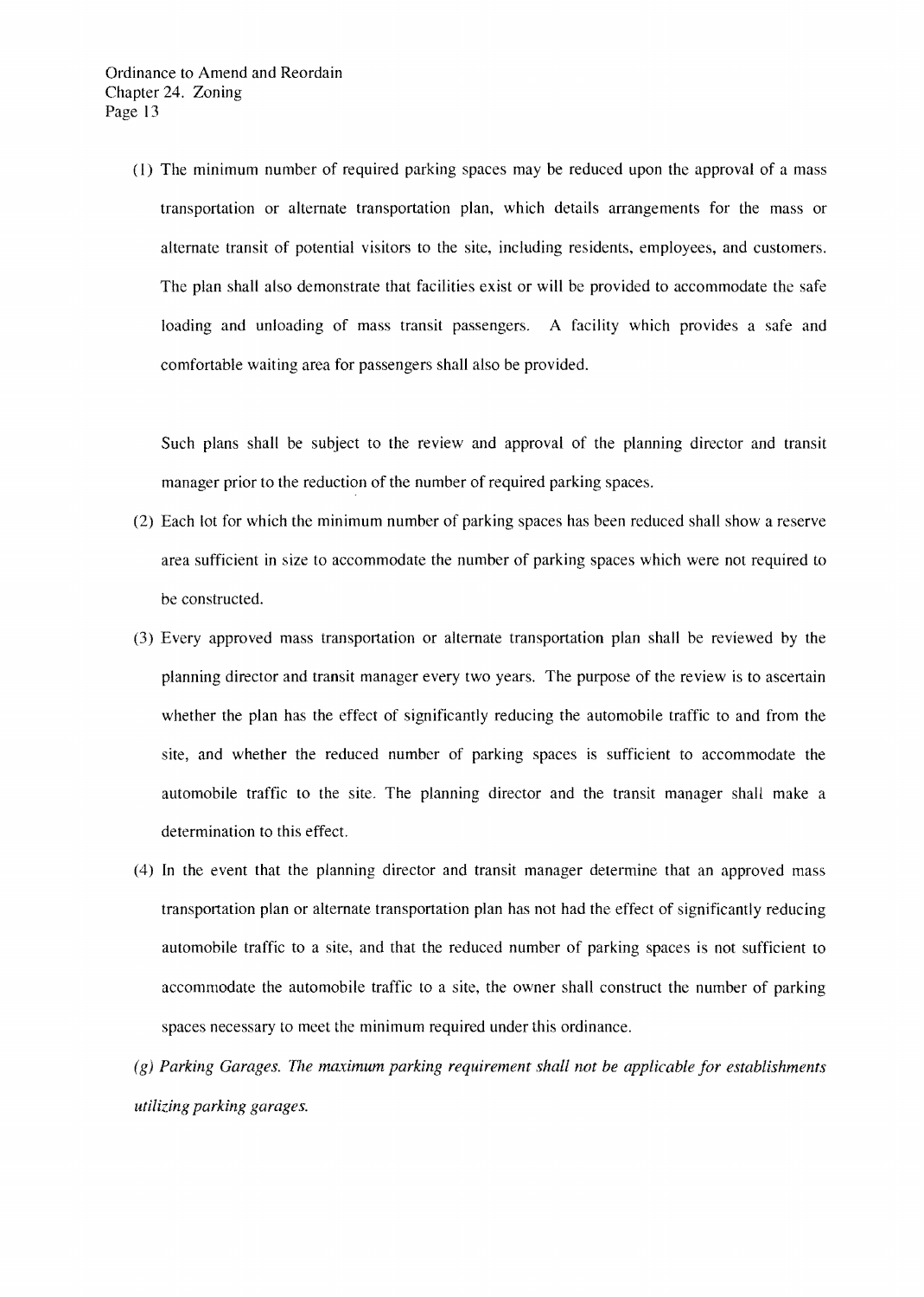(I) The minimum number of required parking spaces may be reduced upon the approval of a mass transportation or alternate transportation plan, which details arrangements for the mass or alternate transit of potential visitors to the site, including residents, employees, and customers. The plan shall also demonstrate that facilities exist or will be provided to accommodate the safe loading and unloading of mass transit passengers. A facility which provides a safe and comfortable waiting area for passengers shall also be provided.

Such plans shall be subject to the review and approval of the planning director and transit manager prior to the reduction of the number of required parking spaces.

- (2) Each lot for which the minimum number of parking spaces has been reduced shall show a reserve area sufficient in size to accommodate the number of parking spaces which were not required to be constructed.
- (3) Every approved mass transportation or alternate transportation plan shall be reviewed by the planning director and transit manager every two years. The purpose of the review is to ascertain whether the plan has the effect of significantly reducing the automobile traffic to and from the site, and whether the reduced number of parking spaces is sufficient to accommodate the automobile traffic to the site. The planning director and the transit manager shall make a determination to this effect.
- (4) In the event that the planning director and transit manager determine that an approved mass transportation plan or alternate transportation plan has not had the effect of significantly reducing automobile traffic to a site, and that the reduced number of parking spaces is not sufficient to accommodate the automobile traffic to a site, the owner shall construct the number of parking spaces necessary to meet the minimum required under this ordinance.
- $(g)$  Parking Garages. The maximum parking requirement shall not be applicable for establishments *utilizing parking garages.*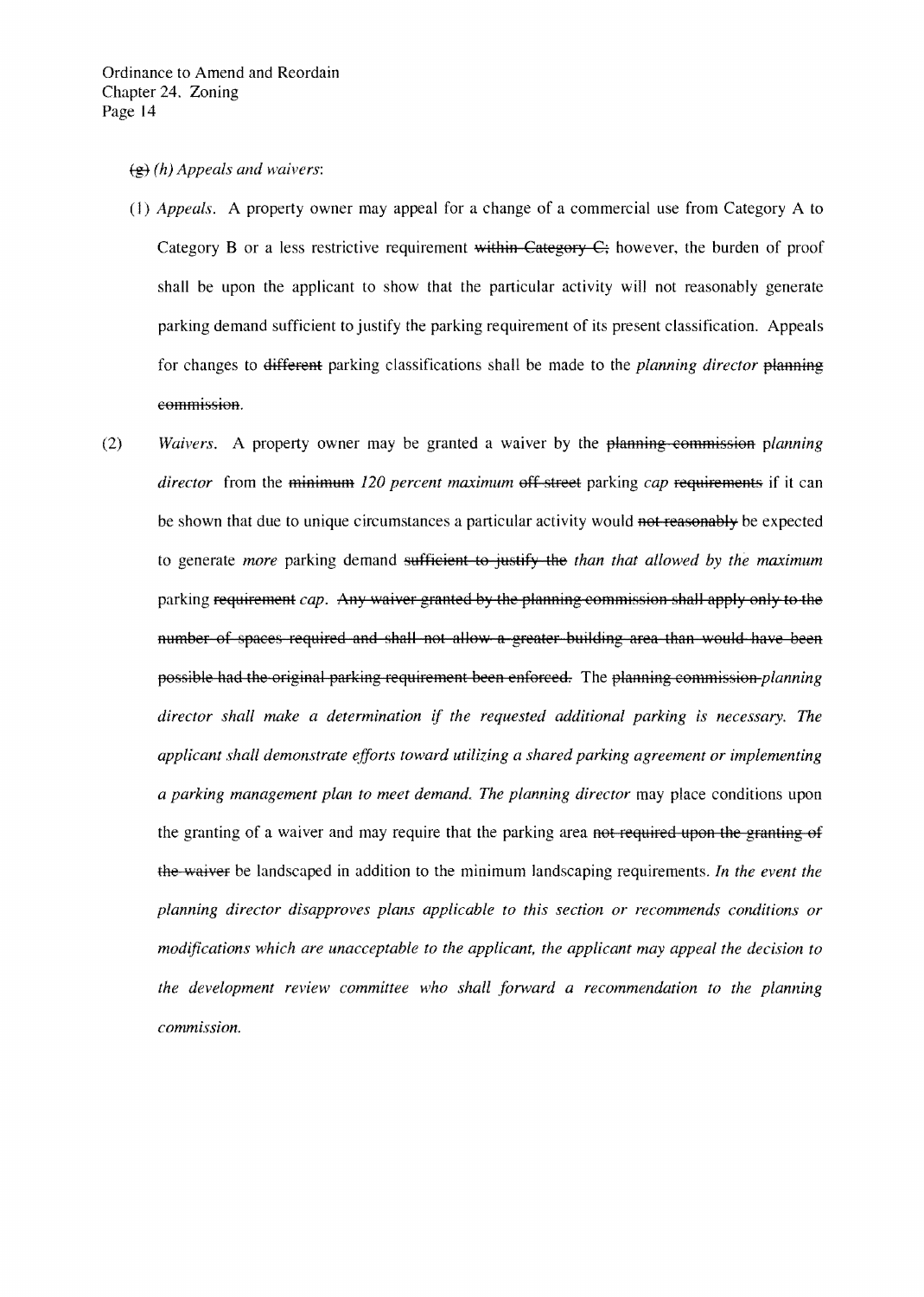- (g) (h) Appeals and waivers:
- *(1) Appeals.*  A property owner may appeal for a change of a commercial use from Category A to Category B or a less restrictive requirement within Category  $C_i$  however, the burden of proof shall be upon the applicant to show that the particular activity will not reasonably generate parking demand sufficient to justify the parking requirement of its present classification. Appeals for changes to <del>different</del> parking classifications shall be made to the *planning director* planning commission.
- *(2) Waivers.* A property owner may be granted a waiver by the planning commission planning *director* from the minimum 120 percent maximum off street parking *cap* requirements if it can be shown that due to unique circumstances a particular activity would not reasonably be expected to generate *more* parking demand sufficient to justify the *than that allowed by the maximum* parking requirement *cap.* Any waiver granted by the planning commission shall apply only to the number of spaces required and shall not allow a greater building area than would have been possible had the original parking requirement been enforced. The planning commission *planning director shall make a determination* if *the requested additional parking* is *necessary. The applicant shall demonstrate efforts toward utilizing a shared parking agreement or implementing a parking management plan to meet demand. The planning director* may place conditions upon the granting of a waiver and may require that the parking area not required upon the granting of the waiver be landscaped in addition to the minimum landscaping requirements. *In the event the planning director disapproves plans applicable to this section or recommends conditions or modifications which are unacceptable to the applicant, the applicant may appeal the decision to the development review committee who shall fonvard a recommendation to the planning commission.*